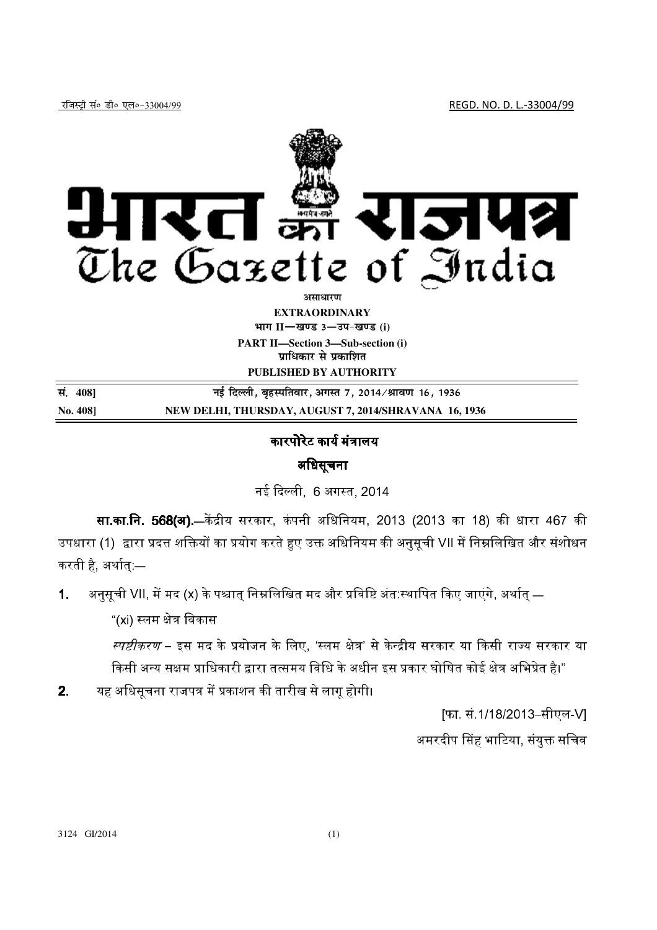

**EXTRAORDINARY**  $\lim_{h \to 0} \frac{1}{h}$  = 30 3  $-$  34 - *B* 3 (i) **PART II—Section 3—Sub-section (i) प्राधिकार से प्रकाशित** 

**PUBLISHED BY AUTHORITY** 

**la- <sup>408</sup>**] **ubZ fnYyh] c`gLifrokj] vxLr 7] 2014@Jko.k 16] 1936 No. 408] NEW DELHI, THURSDAY, AUGUST 7, 2014/SHRAVANA 16, 1936**

## कारपोरेट कार्य मंत्रालय

## अधिसूचना

नई दिल्ली. 6 अगस्त. 2014

**सा.का.नि. 568(अ)**.—केंद्रीय सरकार, कंपनी अधिनियम, 2013 (2013 का 18) की धारा 467 की उपधारा (1) द्वारा प्रदत्त शक्तियों का प्रयोग करते हुए उक्त अधिनियम की अनसची VII में निम्नलिखित और संशोधन । करती है, अर्थात् —

1. अनुसूची VII, में मद (x) के पश्चात् निम्नलिखित मद और प्रविष्टि अंत:स्थापित किए जाएंगे, अर्थात् —

"(xi) स्लम क्षेत्र विकास

स्प*ष्टीकरण* – इस मद के प्रयोजन के लिए. 'स्लम क्षेत्र' से केन्द्रीय सरकार या किसी राज्य सरकार या किसी अन्य सक्षम प्राधिकारी द्वारा तत्समय विधि के अधीन इस प्रकार घोषित कोई क्षेत्र अभिप्रेत है।"

**2**. यह अधिसचना राजपत्र में प्रकाशन की तारीख से लाग होगी।

[फा. सं.1/18/2013–सीएल-V]

अमरदीप सिंह भाटिया. संयक्त सचिव